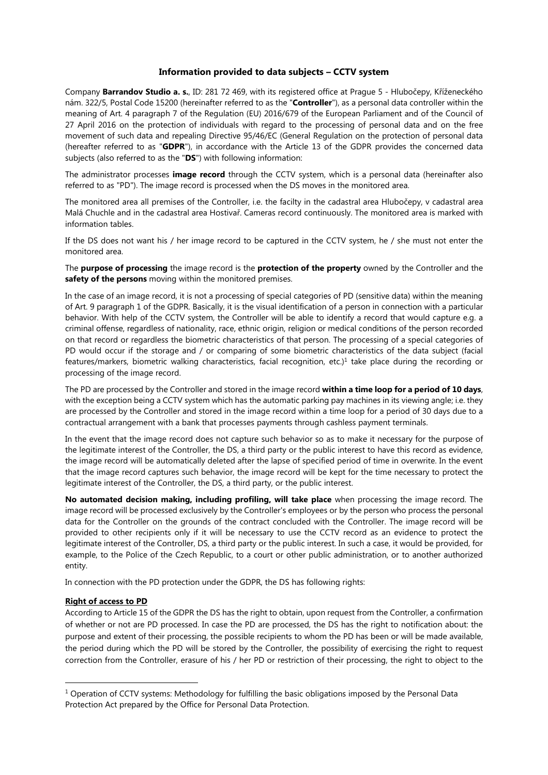# **Information provided to data subjects – CCTV system**

Company **Barrandov Studio a. s.**, ID: 281 72 469, with its registered office at Prague 5 - Hlubočepy, Kříženeckého nám. 322/5, Postal Code 15200 (hereinafter referred to as the "**Controller**"), as a personal data controller within the meaning of Art. 4 paragraph 7 of the Regulation (EU) 2016/679 of the European Parliament and of the Council of 27 April 2016 on the protection of individuals with regard to the processing of personal data and on the free movement of such data and repealing Directive 95/46/EC (General Regulation on the protection of personal data (hereafter referred to as "**GDPR**"), in accordance with the Article 13 of the GDPR provides the concerned data subjects (also referred to as the "**DS**") with following information:

The administrator processes **image record** through the CCTV system, which is a personal data (hereinafter also referred to as "PD"). The image record is processed when the DS moves in the monitored area.

The monitored area all premises of the Controller, i.e. the facilty in the cadastral area Hlubočepy, v cadastral area Malá Chuchle and in the cadastral area Hostivař. Cameras record continuously. The monitored area is marked with information tables.

If the DS does not want his / her image record to be captured in the CCTV system, he / she must not enter the monitored area.

The **purpose of processing** the image record is the **protection of the property** owned by the Controller and the **safety of the persons** moving within the monitored premises.

In the case of an image record, it is not a processing of special categories of PD (sensitive data) within the meaning of Art. 9 paragraph 1 of the GDPR. Basically, it is the visual identification of a person in connection with a particular behavior. With help of the CCTV system, the Controller will be able to identify a record that would capture e.g. a criminal offense, regardless of nationality, race, ethnic origin, religion or medical conditions of the person recorded on that record or regardless the biometric characteristics of that person. The processing of a special categories of PD would occur if the storage and / or comparing of some biometric characteristics of the data subject (facial features/markers, biometric walking characteristics, facial recognition, etc.)<sup>1</sup> take place during the recording or processing of the image record.

The PD are processed by the Controller and stored in the image record **within a time loop for a period of 10 days**, with the exception being a CCTV system which has the automatic parking pay machines in its viewing angle; i.e. they are processed by the Controller and stored in the image record within a time loop for a period of 30 days due to a contractual arrangement with a bank that processes payments through cashless payment terminals.

In the event that the image record does not capture such behavior so as to make it necessary for the purpose of the legitimate interest of the Controller, the DS, a third party or the public interest to have this record as evidence, the image record will be automatically deleted after the lapse of specified period of time in overwrite. In the event that the image record captures such behavior, the image record will be kept for the time necessary to protect the legitimate interest of the Controller, the DS, a third party, or the public interest.

**No automated decision making, including profiling, will take place** when processing the image record. The image record will be processed exclusively by the Controller's employees or by the person who process the personal data for the Controller on the grounds of the contract concluded with the Controller. The image record will be provided to other recipients only if it will be necessary to use the CCTV record as an evidence to protect the legitimate interest of the Controller, DS, a third party or the public interest. In such a case, it would be provided, for example, to the Police of the Czech Republic, to a court or other public administration, or to another authorized entity.

In connection with the PD protection under the GDPR, the DS has following rights:

## **Right of access to PD**

 $\overline{a}$ 

According to Article 15 of the GDPR the DS has the right to obtain, upon request from the Controller, a confirmation of whether or not are PD processed. In case the PD are processed, the DS has the right to notification about: the purpose and extent of their processing, the possible recipients to whom the PD has been or will be made available, the period during which the PD will be stored by the Controller, the possibility of exercising the right to request correction from the Controller, erasure of his / her PD or restriction of their processing, the right to object to the

<sup>&</sup>lt;sup>1</sup> Operation of CCTV systems: Methodology for fulfilling the basic obligations imposed by the Personal Data Protection Act prepared by the Office for Personal Data Protection.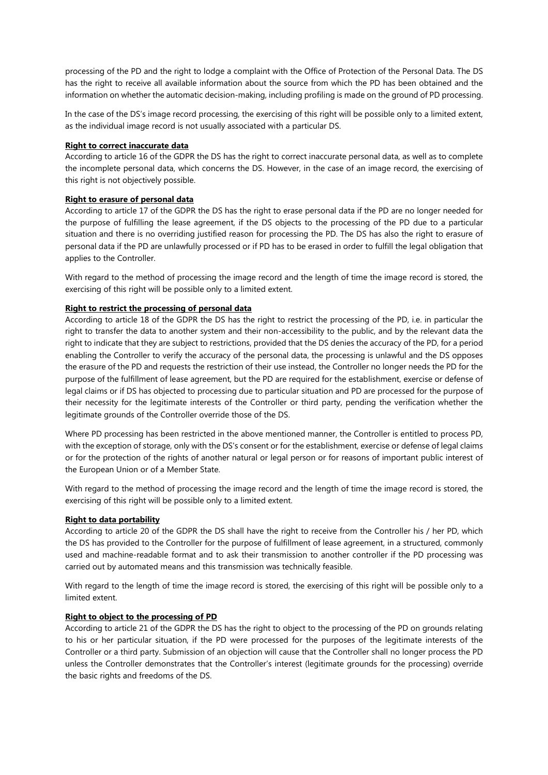processing of the PD and the right to lodge a complaint with the Office of Protection of the Personal Data. The DS has the right to receive all available information about the source from which the PD has been obtained and the information on whether the automatic decision-making, including profiling is made on the ground of PD processing.

In the case of the DS's image record processing, the exercising of this right will be possible only to a limited extent, as the individual image record is not usually associated with a particular DS.

#### **Right to correct inaccurate data**

According to article 16 of the GDPR the DS has the right to correct inaccurate personal data, as well as to complete the incomplete personal data, which concerns the DS. However, in the case of an image record, the exercising of this right is not objectively possible.

## **Right to erasure of personal data**

According to article 17 of the GDPR the DS has the right to erase personal data if the PD are no longer needed for the purpose of fulfilling the lease agreement, if the DS objects to the processing of the PD due to a particular situation and there is no overriding justified reason for processing the PD. The DS has also the right to erasure of personal data if the PD are unlawfully processed or if PD has to be erased in order to fulfill the legal obligation that applies to the Controller.

With regard to the method of processing the image record and the length of time the image record is stored, the exercising of this right will be possible only to a limited extent.

## **Right to restrict the processing of personal data**

According to article 18 of the GDPR the DS has the right to restrict the processing of the PD, i.e. in particular the right to transfer the data to another system and their non-accessibility to the public, and by the relevant data the right to indicate that they are subject to restrictions, provided that the DS denies the accuracy of the PD, for a period enabling the Controller to verify the accuracy of the personal data, the processing is unlawful and the DS opposes the erasure of the PD and requests the restriction of their use instead, the Controller no longer needs the PD for the purpose of the fulfillment of lease agreement, but the PD are required for the establishment, exercise or defense of legal claims or if DS has objected to processing due to particular situation and PD are processed for the purpose of their necessity for the legitimate interests of the Controller or third party, pending the verification whether the legitimate grounds of the Controller override those of the DS.

Where PD processing has been restricted in the above mentioned manner, the Controller is entitled to process PD, with the exception of storage, only with the DS's consent or for the establishment, exercise or defense of legal claims or for the protection of the rights of another natural or legal person or for reasons of important public interest of the European Union or of a Member State.

With regard to the method of processing the image record and the length of time the image record is stored, the exercising of this right will be possible only to a limited extent.

## **Right to data portability**

According to article 20 of the GDPR the DS shall have the right to receive from the Controller his / her PD, which the DS has provided to the Controller for the purpose of fulfillment of lease agreement, in a structured, commonly used and machine-readable format and to ask their transmission to another controller if the PD processing was carried out by automated means and this transmission was technically feasible.

With regard to the length of time the image record is stored, the exercising of this right will be possible only to a limited extent.

## **Right to object to the processing of PD**

According to article 21 of the GDPR the DS has the right to object to the processing of the PD on grounds relating to his or her particular situation, if the PD were processed for the purposes of the legitimate interests of the Controller or a third party. Submission of an objection will cause that the Controller shall no longer process the PD unless the Controller demonstrates that the Controller's interest (legitimate grounds for the processing) override the basic rights and freedoms of the DS.